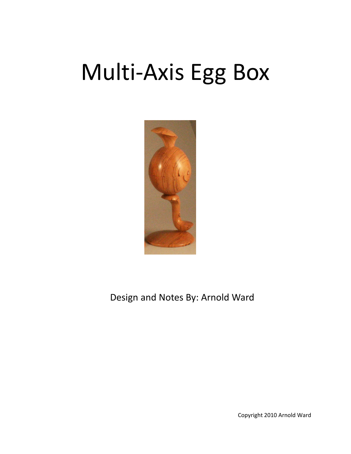## Multi‐Axis Egg Box



Design and Notes By: Arnold Ward

Copyright 2010 Arnold Ward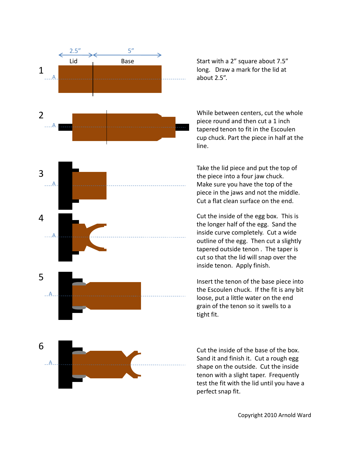

about 2.5".

While between centers, cut the whole piece round and then cut a 1 inch p tapered tenon to fit in the Escoulen cup chuck. Part the piece in half at the line.

Take the lid piece and put the top of the piece into a four jaw chuck. Make sure you have the top of the piece in the jaws and not the middle. Cut a flat clean surface on the end.

Cut the inside of the egg box. This is the longer half of the egg. Sand the inside curve completely. Cut a wide outline of the egg. Then cut a slightly tapered outside tenon . The taper is cut so that the lid will snap over the inside tenon. Apply finish.

Insert the tenon of the base piece into the Escoulen chuck. If the fit is any bit loose, put a little water on the end grain of the tenon so it swells to a tight fit.

Cut the inside of the base of the box. Sand it and finish it. Cut a rough egg shape on the outside. Cut the inside tenon with a slight taper. Frequently test the fit with the lid until you have a perfect snap fit.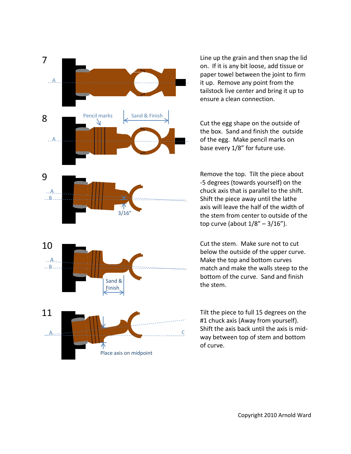

Line up the grain and then snap the lid on. If it is any bit loose, add tissue or paper towel between the joint to firm it up. Remove any point from the tailstock live center and bring it up to ensure a clean connection.

the box. Sand and finish the outside of the egg. Make pencil marks on base every 1/8" for future use.

‐5 degrees (towards yourself) on the chuck axis that is parallel to the shift. Shift the piece away until the lathe axis will leave the half of the width of the stem from center to outside of the top curve (about 1/8" – 3/16").

Cut the stem. Make sure not to cut below the outside of the upper curve. Make the top and bottom curves match and make the walls steep to the bottom of the curve. Sand and finish the stem.

#1 chuck axis (Away from yourself). Shift the axis back until the axis is mid‐ C Britter and back after the axis is that<br>way between top of stem and bottom of curve.